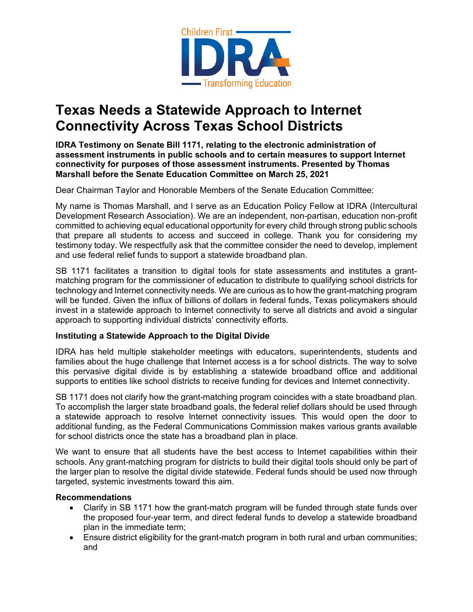

## **Texas Needs a Statewide Approach to Internet Connectivity Across Texas School Districts**

**IDRA Testimony on Senate Bill 1171, relating to the electronic administration of assessment instruments in public schools and to certain measures to support Internet connectivity for purposes of those assessment instruments. Presented by Thomas Marshall before the Senate Education Committee on March 25, 2021**

Dear Chairman Taylor and Honorable Members of the Senate Education Committee:

My name is Thomas Marshall, and I serve as an Education Policy Fellow at IDRA (Intercultural Development Research Association). We are an independent, non-partisan, education non-profit committed to achieving equal educational opportunity for every child through strong public schools that prepare all students to access and succeed in college. Thank you for considering my testimony today. We respectfully ask that the committee consider the need to develop, implement and use federal relief funds to support a statewide broadband plan.

SB 1171 facilitates a transition to digital tools for state assessments and institutes a grantmatching program for the commissioner of education to distribute to qualifying school districts for technology and Internet connectivity needs. We are curious as to how the grant-matching program will be funded. Given the influx of billions of dollars in federal funds, Texas policymakers should invest in a statewide approach to Internet connectivity to serve all districts and avoid a singular approach to supporting individual districts' connectivity efforts.

## **Instituting a Statewide Approach to the Digital Divide**

IDRA has held multiple stakeholder meetings with educators, superintendents, students and families about the huge challenge that Internet access is a for school districts. The way to solve this pervasive digital divide is by establishing a statewide broadband office and additional supports to entities like school districts to receive funding for devices and Internet connectivity.

SB 1171 does not clarify how the grant-matching program coincides with a state broadband plan. To accomplish the larger state broadband goals, the federal relief dollars should be used through a statewide approach to resolve Internet connectivity issues. This would open the door to additional funding, as the Federal Communications Commission makes various grants available for school districts once the state has a broadband plan in place.

We want to ensure that all students have the best access to Internet capabilities within their schools. Any grant-matching program for districts to build their digital tools should only be part of the larger plan to resolve the digital divide statewide. Federal funds should be used now through targeted, systemic investments toward this aim.

## **Recommendations**

- Clarify in SB 1171 how the grant-match program will be funded through state funds over the proposed four-year term, and direct federal funds to develop a statewide broadband plan in the immediate term;
- Ensure district eligibility for the grant-match program in both rural and urban communities; and